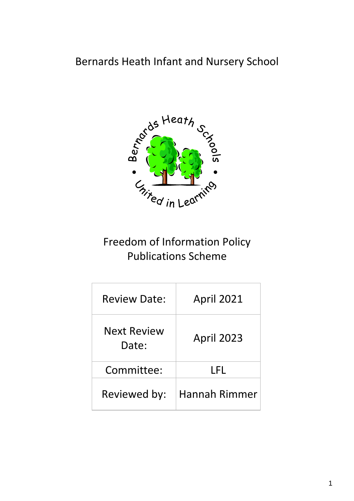## Bernards Heath Infant and Nursery School



# Freedom of Information Policy Publications Scheme

| <b>Review Date:</b>         | <b>April 2021</b> |
|-----------------------------|-------------------|
| <b>Next Review</b><br>Date: | <b>April 2023</b> |
| Committee:                  | LFL               |
| Reviewed by:                | Hannah Rimmer     |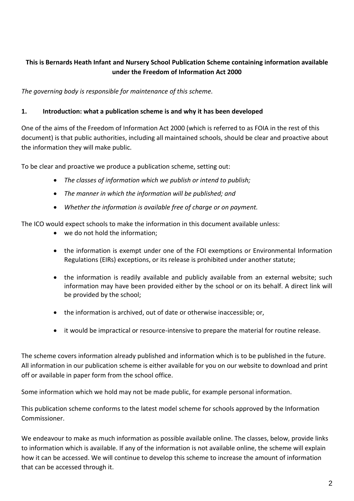#### **This is Bernards Heath Infant and Nursery School Publication Scheme containing information available under the Freedom of Information Act 2000**

*The governing body is responsible for maintenance of this scheme.*

#### **1. Introduction: what a publication scheme is and why it has been developed**

One of the aims of the Freedom of Information Act 2000 (which is referred to as FOIA in the rest of this document) is that public authorities, including all maintained schools, should be clear and proactive about the information they will make public.

To be clear and proactive we produce a publication scheme, setting out:

- *The classes of information which we publish or intend to publish;*
- *The manner in which the information will be published; and*
- *Whether the information is available free of charge or on payment.*

The ICO would expect schools to make the information in this document available unless:

- we do not hold the information;
- the information is exempt under one of the FOI exemptions or Environmental Information Regulations (EIRs) exceptions, or its release is prohibited under another statute;
- the information is readily available and publicly available from an external website; such information may have been provided either by the school or on its behalf. A direct link will be provided by the school;
- the information is archived, out of date or otherwise inaccessible; or,
- it would be impractical or resource-intensive to prepare the material for routine release.

The scheme covers information already published and information which is to be published in the future. All information in our publication scheme is either available for you on our website to download and print off or available in paper form from the school office.

Some information which we hold may not be made public, for example personal information.

This publication scheme conforms to the latest model scheme for schools approved by the Information Commissioner.

We endeavour to make as much information as possible available online. The classes, below, provide links to information which is available. If any of the information is not available online, the scheme will explain how it can be accessed. We will continue to develop this scheme to increase the amount of information that can be accessed through it.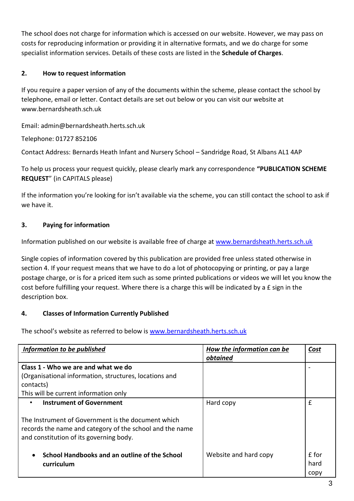The school does not charge for information which is accessed on our website. However, we may pass on costs for reproducing information or providing it in alternative formats, and we do charge for some specialist information services. Details of these costs are listed in the **Schedule of Charges**.

### **2. How to request information**

If you require a paper version of any of the documents within the scheme, please contact the school by telephone, email or letter. Contact details are set out below or you can visit our website at www.bernardsheath.sch.uk

Email: admin@bernardsheath.herts.sch.uk

Telephone: 01727 852106

Contact Address: Bernards Heath Infant and Nursery School – Sandridge Road, St Albans AL1 4AP

To help us process your request quickly, please clearly mark any correspondence **"PUBLICATION SCHEME REQUEST**" (in CAPITALS please)

If the information you're looking for isn't available via the scheme, you can still contact the school to ask if we have it.

#### **3. Paying for information**

Information published on our website is available free of charge a[t www.bernardsheath.herts.sch.uk](http://www.bernardsheath.herts.sch.uk/)

Single copies of information covered by this publication are provided free unless stated otherwise in section 4. If your request means that we have to do a lot of photocopying or printing, or pay a large postage charge, or is for a priced item such as some printed publications or videos we will let you know the cost before fulfilling your request. Where there is a charge this will be indicated by a £ sign in the description box.

#### **4. Classes of Information Currently Published**

The school's website as referred to below is [www.bernardsheath.herts.sch.uk](http://www.bernardsheath.herts.sch.uk/)

| Information to be published                                | How the information can be | Cost  |
|------------------------------------------------------------|----------------------------|-------|
|                                                            | obtained                   |       |
| Class 1 - Who we are and what we do                        |                            |       |
| (Organisational information, structures, locations and     |                            |       |
| contacts)                                                  |                            |       |
| This will be current information only                      |                            |       |
| Instrument of Government                                   | Hard copy                  | £     |
|                                                            |                            |       |
| The Instrument of Government is the document which         |                            |       |
| records the name and category of the school and the name   |                            |       |
| and constitution of its governing body.                    |                            |       |
|                                                            |                            |       |
| School Handbooks and an outline of the School<br>$\bullet$ | Website and hard copy      | £ for |
| curriculum                                                 |                            | hard  |
|                                                            |                            | copy  |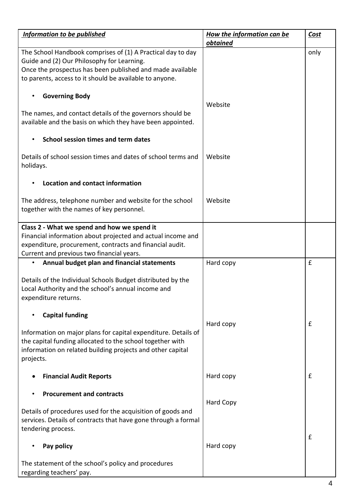| <b>Information to be published</b>                                                                                                                                                                                                | <b>How the information can be</b><br><b>obtained</b> | <b>Cost</b> |
|-----------------------------------------------------------------------------------------------------------------------------------------------------------------------------------------------------------------------------------|------------------------------------------------------|-------------|
| The School Handbook comprises of (1) A Practical day to day<br>Guide and (2) Our Philosophy for Learning.<br>Once the prospectus has been published and made available<br>to parents, access to it should be available to anyone. |                                                      | only        |
| <b>Governing Body</b><br>$\bullet$                                                                                                                                                                                                | Website                                              |             |
| The names, and contact details of the governors should be<br>available and the basis on which they have been appointed.                                                                                                           |                                                      |             |
| School session times and term dates                                                                                                                                                                                               |                                                      |             |
| Details of school session times and dates of school terms and<br>holidays.                                                                                                                                                        | Website                                              |             |
| Location and contact information                                                                                                                                                                                                  |                                                      |             |
| The address, telephone number and website for the school<br>together with the names of key personnel.                                                                                                                             | Website                                              |             |
| Class 2 - What we spend and how we spend it                                                                                                                                                                                       |                                                      |             |
| Financial information about projected and actual income and                                                                                                                                                                       |                                                      |             |
| expenditure, procurement, contracts and financial audit.                                                                                                                                                                          |                                                      |             |
| Current and previous two financial years.                                                                                                                                                                                         |                                                      |             |
| Annual budget plan and financial statements<br>$\bullet$                                                                                                                                                                          | Hard copy                                            | £           |
| Details of the Individual Schools Budget distributed by the<br>Local Authority and the school's annual income and<br>expenditure returns.                                                                                         |                                                      |             |
| <b>Capital funding</b>                                                                                                                                                                                                            |                                                      |             |
|                                                                                                                                                                                                                                   | Hard copy                                            | £           |
| Information on major plans for capital expenditure. Details of<br>the capital funding allocated to the school together with<br>information on related building projects and other capital<br>projects.                            |                                                      |             |
| <b>Financial Audit Reports</b>                                                                                                                                                                                                    | Hard copy                                            | £           |
| <b>Procurement and contracts</b>                                                                                                                                                                                                  | <b>Hard Copy</b>                                     |             |
| Details of procedures used for the acquisition of goods and<br>services. Details of contracts that have gone through a formal<br>tendering process.                                                                               |                                                      |             |
| Pay policy                                                                                                                                                                                                                        | Hard copy                                            | £           |
| The statement of the school's policy and procedures<br>regarding teachers' pay.                                                                                                                                                   |                                                      |             |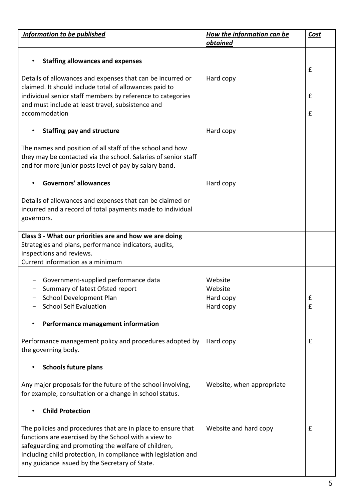| <b>Information to be published</b>                             | <b>How the information can be</b> | <b>Cost</b> |
|----------------------------------------------------------------|-----------------------------------|-------------|
|                                                                | obtained                          |             |
| <b>Staffing allowances and expenses</b><br>$\bullet$           |                                   |             |
|                                                                |                                   | £           |
| Details of allowances and expenses that can be incurred or     | Hard copy                         |             |
| claimed. It should include total of allowances paid to         |                                   |             |
| individual senior staff members by reference to categories     |                                   | £           |
| and must include at least travel, subsistence and              |                                   |             |
| accommodation                                                  |                                   | £           |
|                                                                |                                   |             |
| <b>Staffing pay and structure</b><br>$\bullet$                 | Hard copy                         |             |
|                                                                |                                   |             |
| The names and position of all staff of the school and how      |                                   |             |
| they may be contacted via the school. Salaries of senior staff |                                   |             |
| and for more junior posts level of pay by salary band.         |                                   |             |
| <b>Governors' allowances</b>                                   |                                   |             |
|                                                                | Hard copy                         |             |
| Details of allowances and expenses that can be claimed or      |                                   |             |
| incurred and a record of total payments made to individual     |                                   |             |
| governors.                                                     |                                   |             |
|                                                                |                                   |             |
| Class 3 - What our priorities are and how we are doing         |                                   |             |
| Strategies and plans, performance indicators, audits,          |                                   |             |
| inspections and reviews.                                       |                                   |             |
| Current information as a minimum                               |                                   |             |
|                                                                |                                   |             |
| Government-supplied performance data                           | Website                           |             |
| Summary of latest Ofsted report                                | Website                           |             |
| School Development Plan                                        | Hard copy                         | £           |
| <b>School Self Evaluation</b>                                  | Hard copy                         | £           |
| Performance management information<br>$\bullet$                |                                   |             |
|                                                                |                                   |             |
| Performance management policy and procedures adopted by        | Hard copy                         | £           |
| the governing body.                                            |                                   |             |
|                                                                |                                   |             |
| <b>Schools future plans</b>                                    |                                   |             |
|                                                                |                                   |             |
| Any major proposals for the future of the school involving,    | Website, when appropriate         |             |
| for example, consultation or a change in school status.        |                                   |             |
|                                                                |                                   |             |
| <b>Child Protection</b>                                        |                                   |             |
| The policies and procedures that are in place to ensure that   | Website and hard copy             | £           |
| functions are exercised by the School with a view to           |                                   |             |
| safeguarding and promoting the welfare of children,            |                                   |             |
| including child protection, in compliance with legislation and |                                   |             |
| any guidance issued by the Secretary of State.                 |                                   |             |
|                                                                |                                   |             |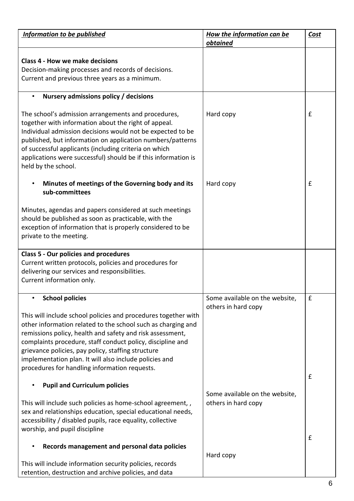| <b>Information to be published</b>                                                                                                                                                                                                                                                                                                                                                                                         | <b>How the information can be</b><br>obtained         | Cost         |
|----------------------------------------------------------------------------------------------------------------------------------------------------------------------------------------------------------------------------------------------------------------------------------------------------------------------------------------------------------------------------------------------------------------------------|-------------------------------------------------------|--------------|
| <b>Class 4 - How we make decisions</b>                                                                                                                                                                                                                                                                                                                                                                                     |                                                       |              |
| Decision-making processes and records of decisions.<br>Current and previous three years as a minimum.                                                                                                                                                                                                                                                                                                                      |                                                       |              |
| Nursery admissions policy / decisions                                                                                                                                                                                                                                                                                                                                                                                      |                                                       |              |
| The school's admission arrangements and procedures,<br>together with information about the right of appeal.<br>Individual admission decisions would not be expected to be<br>published, but information on application numbers/patterns<br>of successful applicants (including criteria on which<br>applications were successful) should be if this information is<br>held by the school.                                  | Hard copy                                             | $\mathbf{f}$ |
| Minutes of meetings of the Governing body and its<br>$\bullet$<br>sub-committees                                                                                                                                                                                                                                                                                                                                           | Hard copy                                             | £            |
| Minutes, agendas and papers considered at such meetings<br>should be published as soon as practicable, with the<br>exception of information that is properly considered to be<br>private to the meeting.                                                                                                                                                                                                                   |                                                       |              |
| <b>Class 5 - Our policies and procedures</b><br>Current written protocols, policies and procedures for                                                                                                                                                                                                                                                                                                                     |                                                       |              |
| delivering our services and responsibilities.                                                                                                                                                                                                                                                                                                                                                                              |                                                       |              |
| Current information only.                                                                                                                                                                                                                                                                                                                                                                                                  |                                                       |              |
| <b>School policies</b>                                                                                                                                                                                                                                                                                                                                                                                                     | Some available on the website,<br>others in hard copy | £            |
| This will include school policies and procedures together with<br>other information related to the school such as charging and<br>remissions policy, health and safety and risk assessment,<br>complaints procedure, staff conduct policy, discipline and<br>grievance policies, pay policy, staffing structure<br>implementation plan. It will also include policies and<br>procedures for handling information requests. |                                                       |              |
| <b>Pupil and Curriculum policies</b>                                                                                                                                                                                                                                                                                                                                                                                       |                                                       | £            |
| This will include such policies as home-school agreement,,<br>sex and relationships education, special educational needs,<br>accessibility / disabled pupils, race equality, collective<br>worship, and pupil discipline                                                                                                                                                                                                   | Some available on the website,<br>others in hard copy |              |
| Records management and personal data policies                                                                                                                                                                                                                                                                                                                                                                              |                                                       | £            |
| This will include information security policies, records<br>retention, destruction and archive policies, and data                                                                                                                                                                                                                                                                                                          | Hard copy                                             |              |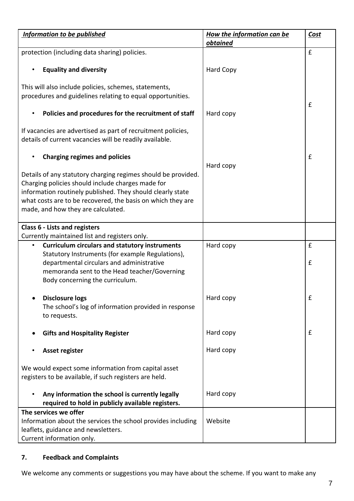| <b>Information to be published</b>                                                                                  | <b>How the information can be</b><br>obtained | <b>Cost</b> |
|---------------------------------------------------------------------------------------------------------------------|-----------------------------------------------|-------------|
| protection (including data sharing) policies.                                                                       |                                               | $\mathbf f$ |
| <b>Equality and diversity</b>                                                                                       | <b>Hard Copy</b>                              |             |
| This will also include policies, schemes, statements,                                                               |                                               |             |
| procedures and guidelines relating to equal opportunities.                                                          |                                               | £           |
| Policies and procedures for the recruitment of staff                                                                | Hard copy                                     |             |
| If vacancies are advertised as part of recruitment policies,                                                        |                                               |             |
| details of current vacancies will be readily available.                                                             |                                               |             |
| <b>Charging regimes and policies</b>                                                                                | Hard copy                                     | $\mathbf f$ |
| Details of any statutory charging regimes should be provided.                                                       |                                               |             |
| Charging policies should include charges made for<br>information routinely published. They should clearly state     |                                               |             |
| what costs are to be recovered, the basis on which they are                                                         |                                               |             |
| made, and how they are calculated.                                                                                  |                                               |             |
| <b>Class 6 - Lists and registers</b>                                                                                |                                               |             |
| Currently maintained list and registers only.<br><b>Curriculum circulars and statutory instruments</b><br>$\bullet$ | Hard copy                                     | £           |
| Statutory Instruments (for example Regulations),                                                                    |                                               |             |
| departmental circulars and administrative<br>memoranda sent to the Head teacher/Governing                           |                                               | £           |
| Body concerning the curriculum.                                                                                     |                                               |             |
| <b>Disclosure logs</b><br>$\bullet$                                                                                 | Hard copy                                     | £           |
| The school's log of information provided in response                                                                |                                               |             |
| to requests.                                                                                                        |                                               |             |
| <b>Gifts and Hospitality Register</b>                                                                               | Hard copy                                     | $\mathbf f$ |
| Asset register                                                                                                      | Hard copy                                     |             |
| We would expect some information from capital asset                                                                 |                                               |             |
| registers to be available, if such registers are held.                                                              |                                               |             |
| Any information the school is currently legally<br>$\bullet$<br>required to hold in publicly available registers.   | Hard copy                                     |             |
| The services we offer                                                                                               |                                               |             |
| Information about the services the school provides including<br>leaflets, guidance and newsletters.                 | Website                                       |             |
| Current information only.                                                                                           |                                               |             |

## **7. Feedback and Complaints**

We welcome any comments or suggestions you may have about the scheme. If you want to make any